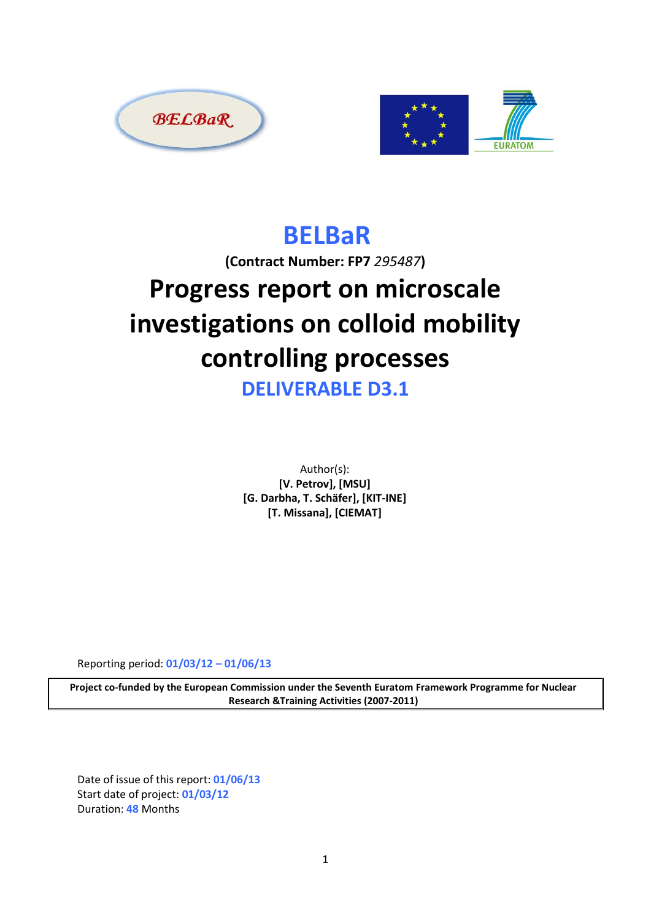



## **BELBaR**

**(Contract Number: FP7** *295487***)**

# **Progress report on microscale investigations on colloid mobility controlling processes**

**DELIVERABLE D3.1**

Author(s): **[V. Petrov], [MSU] [G. Darbha, T. Schäfer], [KIT-INE] [T. Missana], [CIEMAT]**

Reporting period: **01/03/12 – 01/06/13**

**Project co-funded by the European Commission under the Seventh Euratom Framework Programme for Nuclear Research &Training Activities (2007-2011)**

Date of issue of this report: **01/06/13** Start date of project: **01/03/12** Duration: **48** Months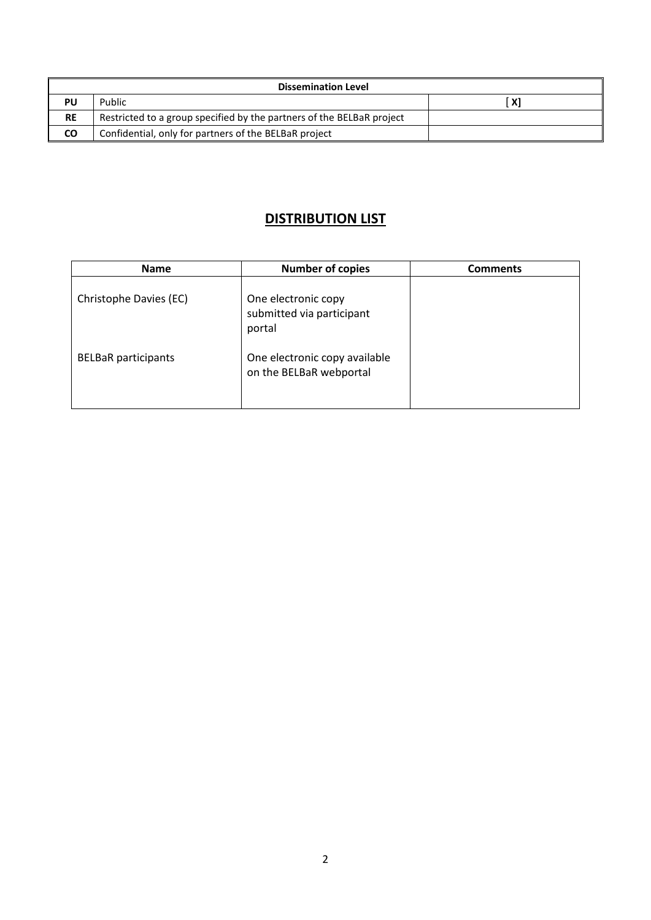| <b>Dissemination Level</b> |                                                                       |                                               |  |
|----------------------------|-----------------------------------------------------------------------|-----------------------------------------------|--|
| PU                         | Public                                                                | $\mathsf{X}^{\scriptscriptstyle{\mathsf{T}}}$ |  |
| <b>RE</b>                  | Restricted to a group specified by the partners of the BELBaR project |                                               |  |
| <b>CO</b>                  | Confidential, only for partners of the BELBaR project                 |                                               |  |

### **DISTRIBUTION LIST**

| <b>Name</b>                | <b>Number of copies</b>                                    | <b>Comments</b> |
|----------------------------|------------------------------------------------------------|-----------------|
| Christophe Davies (EC)     | One electronic copy<br>submitted via participant<br>portal |                 |
| <b>BELBaR</b> participants | One electronic copy available<br>on the BELBaR webportal   |                 |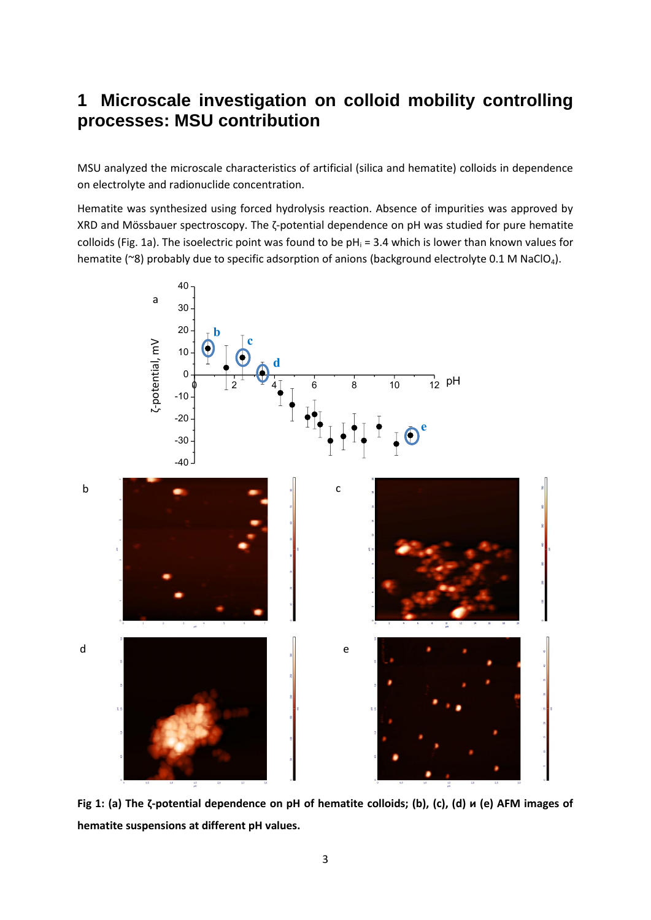## **1 Microscale investigation on colloid mobility controlling processes: MSU contribution**

MSU analyzed the microscale characteristics of artificial (silica and hematite) colloids in dependence on electrolyte and radionuclide concentration.

Hematite was synthesized using forced hydrolysis reaction. Absence of impurities was approved by XRD and Mössbauer spectroscopy. The ζ-potential dependence on pH was studied for pure hematite colloids (Fig. 1a). The isoelectric point was found to be  $pH_i = 3.4$  which is lower than known values for hematite (~8) probably due to specific adsorption of anions (background electrolyte 0.1 M NaClO<sub>4</sub>).



**Fig 1: (а) The ζ-potential dependence on pH of hematite colloids; (b), (c), (d) и (e) AFM images of hematite suspensions at different pH values.**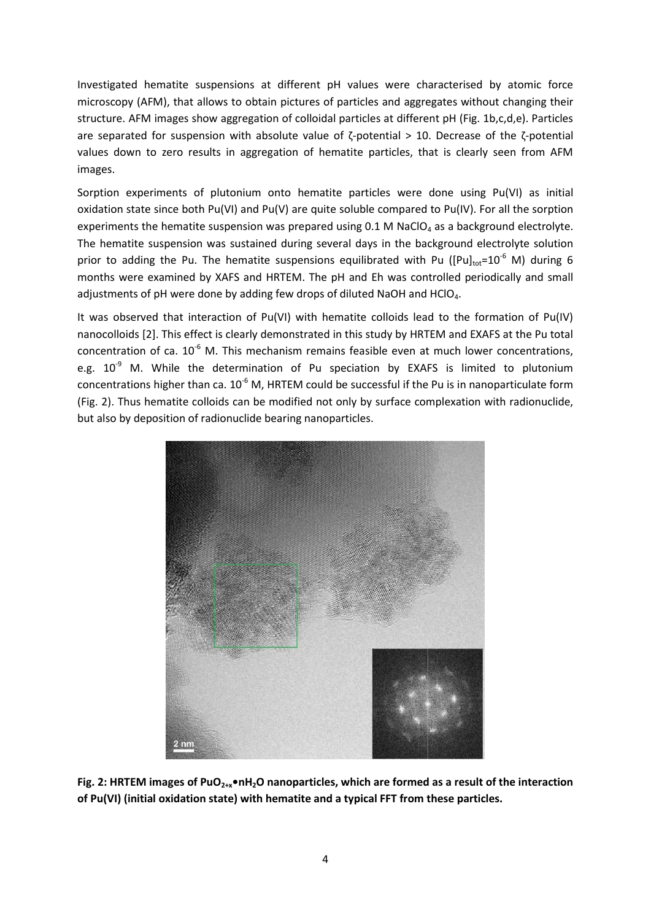Investigated hematite suspensions at different pH values were characterised by atomic force microscopy (AFM), that allows to obtain pictures of particles and aggregates without changing their structure. AFM images show aggregation of colloidal particles at different pH (Fig. 1b,c,d,e). Particles are separated for suspension with absolute value of ζ-potential > 10. Decrease of the ζ-potential values down to zero results in aggregation of hematite particles, that is clearly seen from AFM images.

Sorption experiments of plutonium onto hematite particles were done using Pu(VI) as initial oxidation state since both Pu(VI) and Pu(V) are quite soluble compared to Pu(IV). For all the sorption experiments the hematite suspension was prepared using  $0.1$  M NaClO<sub>4</sub> as a background electrolyte. The hematite suspension was sustained during several days in the background electrolyte solution prior to adding the Pu. The hematite suspensions equilibrated with Pu ( $[Pu]_{tot} = 10^{-6}$  M) during 6 months were examined by XAFS and HRTEM. The pH and Eh was controlled periodically and small adjustments of pH were done by adding few drops of diluted NaOH and HClO<sub>4</sub>.

It was observed that interaction of Pu(VI) with hematite colloids lead to the formation of Pu(IV) nanocolloids [2]. This effect is clearly demonstrated in this study by HRTEM and EXAFS at the Pu total concentration of ca.  $10^{-6}$  M. This mechanism remains feasible even at much lower concentrations, e.g.  $10^{-9}$  M. While the determination of Pu speciation by EXAFS is limited to plutonium concentrations higher than ca.  $10^{-6}$  M, HRTEM could be successful if the Pu is in nanoparticulate form (Fig. 2). Thus hematite colloids can be modified not only by surface complexation with radionuclide, but also by deposition of radionuclide bearing nanoparticles.



**Fig. 2: HRTEM images of PuO2+x•nH2O nanoparticles, which are formed as a result of the interaction of Pu(VI) (initial oxidation state) with hematite and a typical FFT from these particles.**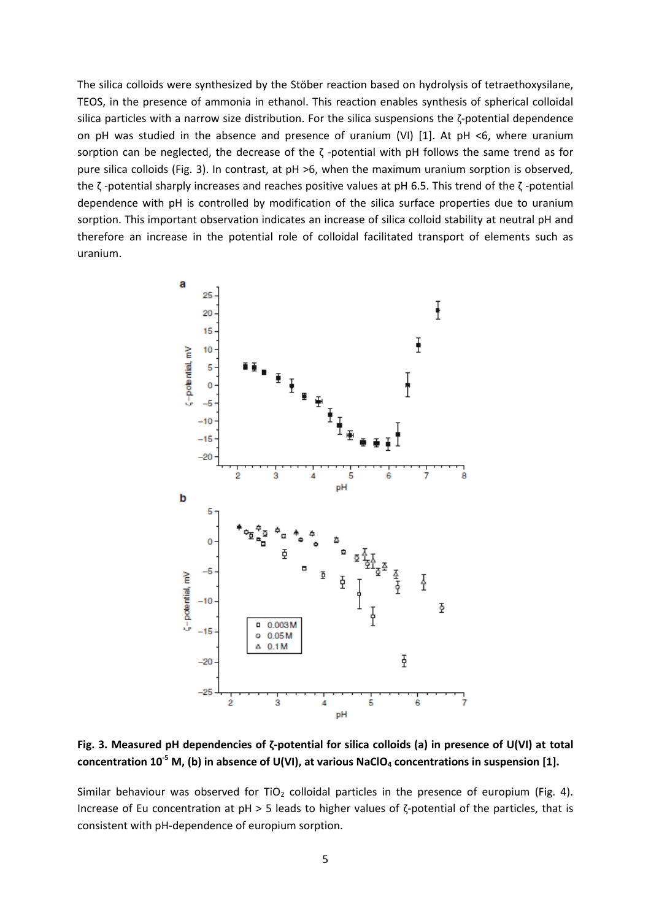The silica colloids were synthesized by the Stöber reaction based on hydrolysis of tetraethoxysilane, TEOS, in the presence of ammonia in ethanol. This reaction enables synthesis of spherical colloidal silica particles with a narrow size distribution. For the silica suspensions the ζ-potential dependence on pH was studied in the absence and presence of uranium (VI) [1]. At pH <6, where uranium sorption can be neglected, the decrease of the  $\zeta$  -potential with pH follows the same trend as for pure silica colloids (Fig. 3). In contrast, at pH >6, when the maximum uranium sorption is observed, the ζ -potential sharply increases and reaches positive values at pH 6.5. This trend of the ζ -potential dependence with pH is controlled by modification of the silica surface properties due to uranium sorption. This important observation indicates an increase of silica colloid stability at neutral pH and therefore an increase in the potential role of colloidal facilitated transport of elements such as uranium.



**Fig. 3. Measured pH dependencies of ζ-potential for silica colloids (a) in presence of U(VI) at total concentration 10-5 M, (b) in absence of U(VI), at various NaClO<sup>4</sup> concentrations in suspension [1].**

Similar behaviour was observed for TiO<sub>2</sub> colloidal particles in the presence of europium (Fig. 4). Increase of Eu concentration at pH > 5 leads to higher values of ζ-potential of the particles, that is consistent with pH-dependence of europium sorption.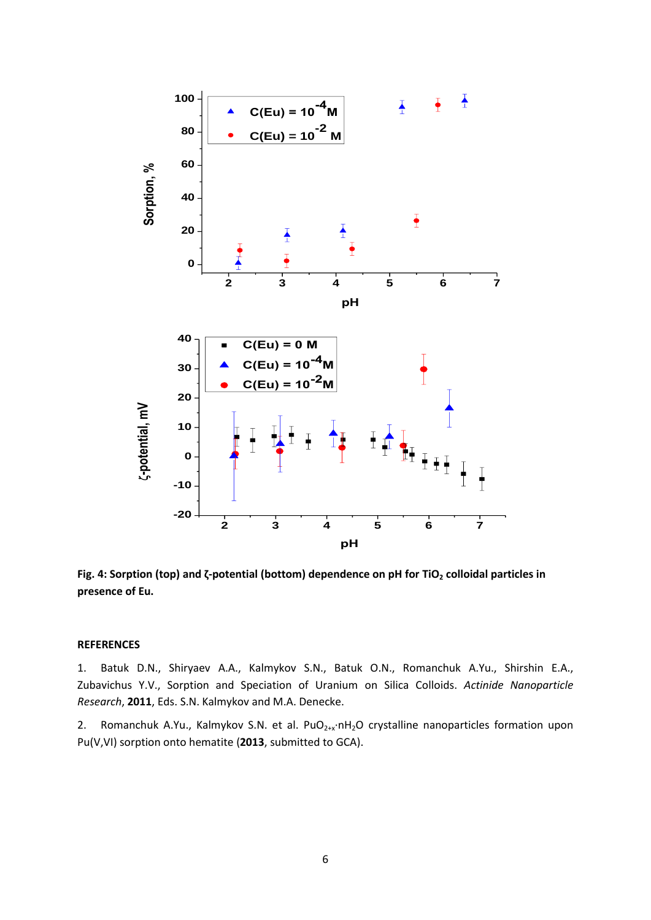

**Fig. 4: Sorption (top) and ζ-potential (bottom) dependence on pH for TiO<sup>2</sup> colloidal particles in presence of Eu.**

#### **REFERENCES**

1. Batuk D.N., Shiryaev A.A., Kalmykov S.N., Batuk O.N., Romanchuk A.Yu., Shirshin E.A., Zubavichus Y.V., Sorption and Speciation of Uranium on Silica Colloids. *Actinide Nanoparticle Research*, **2011**, Eds. S.N. Kalmykov and M.A. Denecke.

2. Romanchuk A.Yu., Kalmykov S.N. et al. PuO<sub>2+x</sub>⋅nH<sub>2</sub>O crystalline nanoparticles formation upon Pu(V,VI) sorption onto hematite (**2013**, submitted to GCA).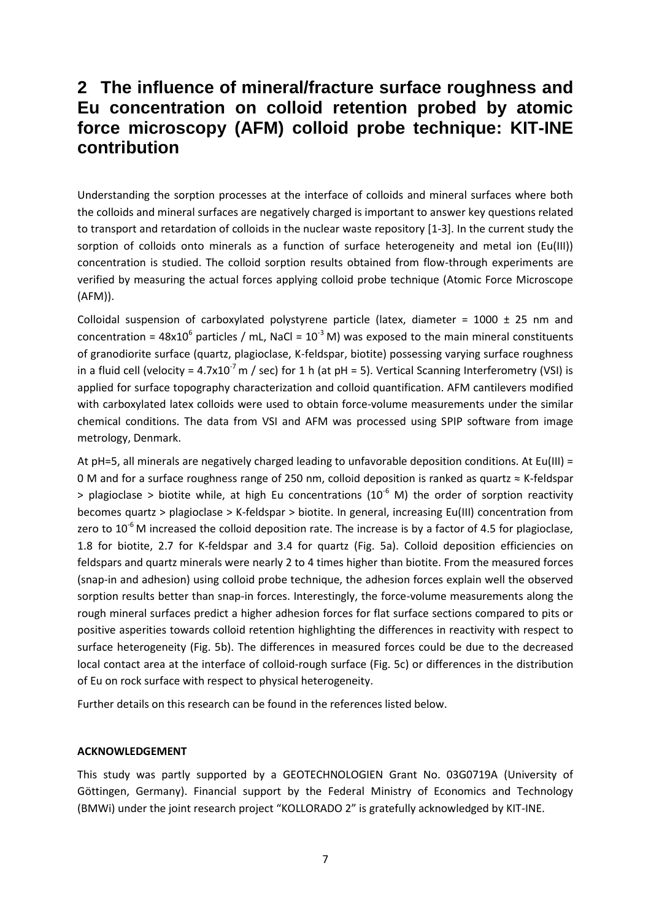## **2 The influence of mineral/fracture surface roughness and Eu concentration on colloid retention probed by atomic force microscopy (AFM) colloid probe technique: KIT-INE contribution**

Understanding the sorption processes at the interface of colloids and mineral surfaces where both the colloids and mineral surfaces are negatively charged is important to answer key questions related to transport and retardation of colloids in the nuclear waste repository [1-3]. In the current study the sorption of colloids onto minerals as a function of surface heterogeneity and metal ion (Eu(III)) concentration is studied. The colloid sorption results obtained from flow-through experiments are verified by measuring the actual forces applying colloid probe technique (Atomic Force Microscope (AFM)).

Colloidal suspension of carboxylated polystyrene particle (latex, diameter =  $1000 \pm 25$  nm and concentration =  $48x10^6$  particles / mL, NaCl =  $10^{-3}$  M) was exposed to the main mineral constituents of granodiorite surface (quartz, plagioclase, K-feldspar, biotite) possessing varying surface roughness in a fluid cell (velocity =  $4.7x10^{-7}$  m / sec) for 1 h (at pH = 5). Vertical Scanning Interferometry (VSI) is applied for surface topography characterization and colloid quantification. AFM cantilevers modified with carboxylated latex colloids were used to obtain force-volume measurements under the similar chemical conditions. The data from VSI and AFM was processed using SPIP software from image metrology, Denmark.

At pH=5, all minerals are negatively charged leading to unfavorable deposition conditions. At Eu(III) = 0 M and for a surface roughness range of 250 nm, colloid deposition is ranked as quartz ≈ K-feldspar  $>$  plagioclase  $>$  biotite while, at high Eu concentrations (10<sup>-6</sup> M) the order of sorption reactivity becomes quartz > plagioclase > K-feldspar > biotite. In general, increasing Eu(III) concentration from zero to  $10^{-6}$  M increased the colloid deposition rate. The increase is by a factor of 4.5 for plagioclase, 1.8 for biotite, 2.7 for K-feldspar and 3.4 for quartz (Fig. 5a). Colloid deposition efficiencies on feldspars and quartz minerals were nearly 2 to 4 times higher than biotite. From the measured forces (snap-in and adhesion) using colloid probe technique, the adhesion forces explain well the observed sorption results better than snap-in forces. Interestingly, the force-volume measurements along the rough mineral surfaces predict a higher adhesion forces for flat surface sections compared to pits or positive asperities towards colloid retention highlighting the differences in reactivity with respect to surface heterogeneity (Fig. 5b). The differences in measured forces could be due to the decreased local contact area at the interface of colloid-rough surface (Fig. 5c) or differences in the distribution of Eu on rock surface with respect to physical heterogeneity.

Further details on this research can be found in the references listed below.

#### **ACKNOWLEDGEMENT**

This study was partly supported by a GEOTECHNOLOGIEN Grant No. 03G0719A (University of Göttingen, Germany). Financial support by the Federal Ministry of Economics and Technology (BMWi) under the joint research project "KOLLORADO 2" is gratefully acknowledged by KIT-INE.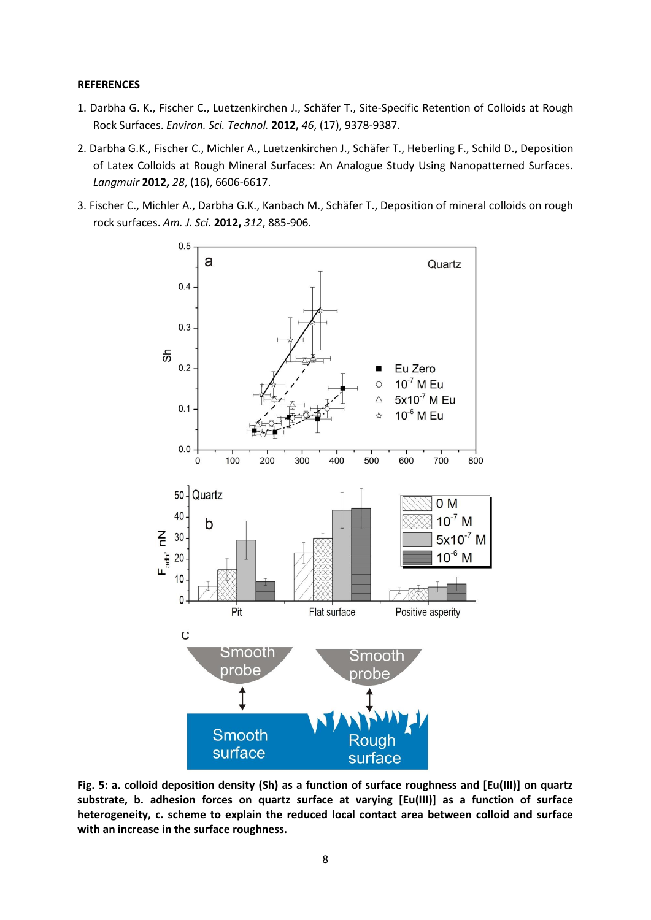#### **REFERENCES**

- 1. Darbha G. K., Fischer C., Luetzenkirchen J., Schäfer T., Site-Specific Retention of Colloids at Rough Rock Surfaces. *Environ. Sci. Technol.* **2012,** *46*, (17), 9378-9387.
- 2. Darbha G.K., Fischer C., Michler A., Luetzenkirchen J., Schäfer T., Heberling F., Schild D., Deposition of Latex Colloids at Rough Mineral Surfaces: An Analogue Study Using Nanopatterned Surfaces. *Langmuir* **2012,** *28*, (16), 6606-6617.
- 3. Fischer C., Michler A., Darbha G.K., Kanbach M., Schäfer T., Deposition of mineral colloids on rough rock surfaces. *Am. J. Sci.* **2012,** *312*, 885-906.



**Fig. 5: a. colloid deposition density (Sh) as a function of surface roughness and [Eu(III)] on quartz substrate, b. adhesion forces on quartz surface at varying [Eu(III)] as a function of surface heterogeneity, c. scheme to explain the reduced local contact area between colloid and surface with an increase in the surface roughness.**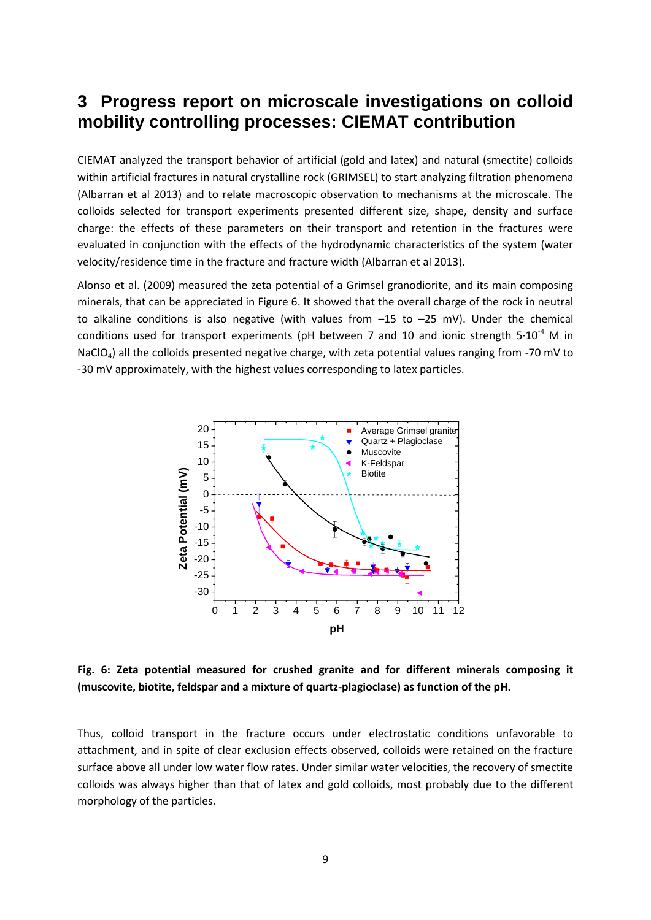## **3 Progress report on microscale investigations on colloid mobility controlling processes: CIEMAT contribution**

CIEMAT analyzed the transport behavior of artificial (gold and latex) and natural (smectite) colloids within artificial fractures in natural crystalline rock (GRIMSEL) to start analyzing filtration phenomena (Albarran et al 2013) and to relate macroscopic observation to mechanisms at the microscale. The colloids selected for transport experiments presented different size, shape, density and surface charge: the effects of these parameters on their transport and retention in the fractures were evaluated in conjunction with the effects of the hydrodynamic characteristics of the system (water velocity/residence time in the fracture and fracture width (Albarran et al 2013).

Alonso et al. (2009) measured the zeta potential of a Grimsel granodiorite, and its main composing minerals, that can be appreciated in Figure 6. It showed that the overall charge of the rock in neutral to alkaline conditions is also negative (with values from –15 to –25 mV). Under the chemical conditions used for transport experiments (pH between 7 and 10 and ionic strength  $5·10<sup>-4</sup>$  M in NaClO<sub>4</sub>) all the colloids presented negative charge, with zeta potential values ranging from -70 mV to -30 mV approximately, with the highest values corresponding to latex particles.



**Fig. 6: Zeta potential measured for crushed granite and for different minerals composing it (muscovite, biotite, feldspar and a mixture of quartz-plagioclase) as function of the pH.**

Thus, colloid transport in the fracture occurs under electrostatic conditions unfavorable to attachment, and in spite of clear exclusion effects observed, colloids were retained on the fracture surface above all under low water flow rates. Under similar water velocities, the recovery of smectite colloids was always higher than that of latex and gold colloids, most probably due to the different morphology of the particles.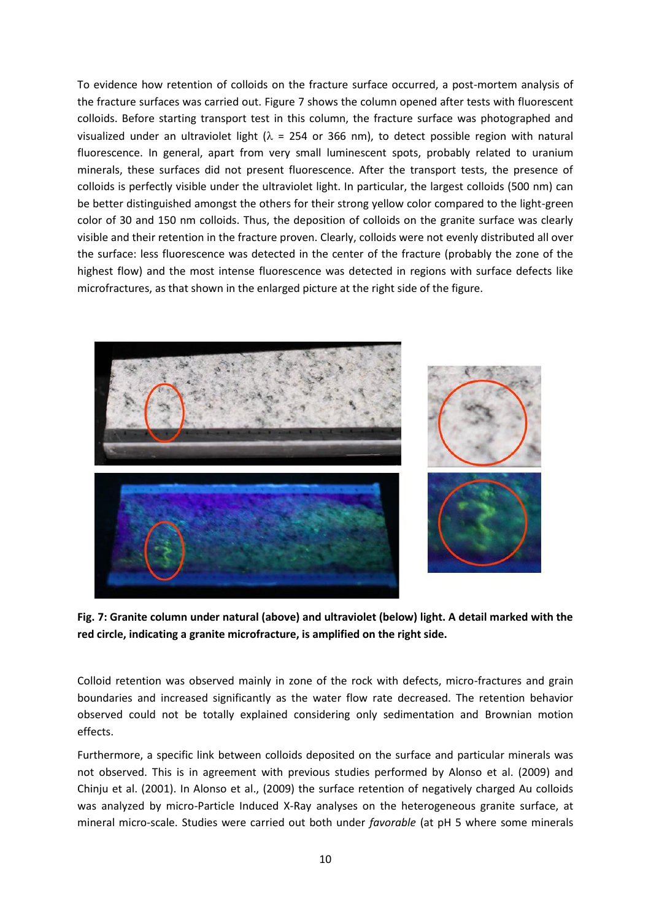To evidence how retention of colloids on the fracture surface occurred, a post-mortem analysis of the fracture surfaces was carried out. Figure 7 shows the column opened after tests with fluorescent colloids. Before starting transport test in this column, the fracture surface was photographed and visualized under an ultraviolet light ( $\lambda$  = 254 or 366 nm), to detect possible region with natural fluorescence. In general, apart from very small luminescent spots, probably related to uranium minerals, these surfaces did not present fluorescence. After the transport tests, the presence of colloids is perfectly visible under the ultraviolet light. In particular, the largest colloids (500 nm) can be better distinguished amongst the others for their strong yellow color compared to the light-green color of 30 and 150 nm colloids. Thus, the deposition of colloids on the granite surface was clearly visible and their retention in the fracture proven. Clearly, colloids were not evenly distributed all over the surface: less fluorescence was detected in the center of the fracture (probably the zone of the highest flow) and the most intense fluorescence was detected in regions with surface defects like microfractures, as that shown in the enlarged picture at the right side of the figure.



**Fig. 7: Granite column under natural (above) and ultraviolet (below) light. A detail marked with the red circle, indicating a granite microfracture, is amplified on the right side.** 

Colloid retention was observed mainly in zone of the rock with defects, micro-fractures and grain boundaries and increased significantly as the water flow rate decreased. The retention behavior observed could not be totally explained considering only sedimentation and Brownian motion effects.

Furthermore, a specific link between colloids deposited on the surface and particular minerals was not observed. This is in agreement with previous studies performed by Alonso et al. (2009) and Chinju et al. (2001). In Alonso et al., (2009) the surface retention of negatively charged Au colloids was analyzed by micro-Particle Induced X-Ray analyses on the heterogeneous granite surface, at mineral micro-scale. Studies were carried out both under *favorable* (at pH 5 where some minerals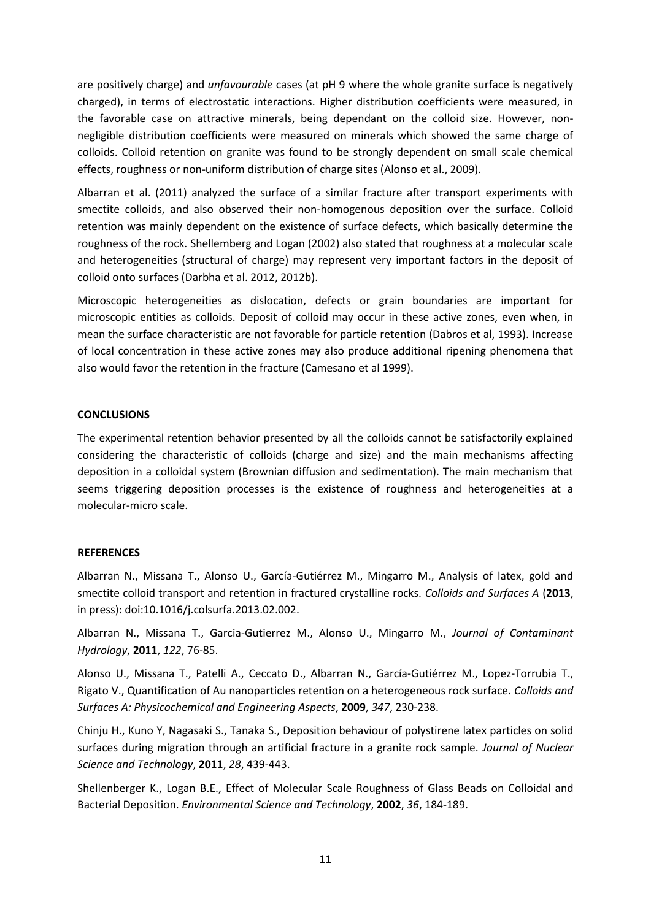are positively charge) and *unfavourable* cases (at pH 9 where the whole granite surface is negatively charged), in terms of electrostatic interactions. Higher distribution coefficients were measured, in the favorable case on attractive minerals, being dependant on the colloid size. However, nonnegligible distribution coefficients were measured on minerals which showed the same charge of colloids. Colloid retention on granite was found to be strongly dependent on small scale chemical effects, roughness or non-uniform distribution of charge sites (Alonso et al., 2009).

Albarran et al. (2011) analyzed the surface of a similar fracture after transport experiments with smectite colloids, and also observed their non-homogenous deposition over the surface. Colloid retention was mainly dependent on the existence of surface defects, which basically determine the roughness of the rock. Shellemberg and Logan (2002) also stated that roughness at a molecular scale and heterogeneities (structural of charge) may represent very important factors in the deposit of colloid onto surfaces (Darbha et al. 2012, 2012b).

Microscopic heterogeneities as dislocation, defects or grain boundaries are important for microscopic entities as colloids. Deposit of colloid may occur in these active zones, even when, in mean the surface characteristic are not favorable for particle retention (Dabros et al, 1993). Increase of local concentration in these active zones may also produce additional ripening phenomena that also would favor the retention in the fracture (Camesano et al 1999).

#### **CONCLUSIONS**

The experimental retention behavior presented by all the colloids cannot be satisfactorily explained considering the characteristic of colloids (charge and size) and the main mechanisms affecting deposition in a colloidal system (Brownian diffusion and sedimentation). The main mechanism that seems triggering deposition processes is the existence of roughness and heterogeneities at a molecular-micro scale.

#### **REFERENCES**

Albarran N., Missana T., Alonso U., García-Gutiérrez M., Mingarro M., Analysis of latex, gold and smectite colloid transport and retention in fractured crystalline rocks. *Colloids and Surfaces A* (**2013**, in press): doi:10.1016/j.colsurfa.2013.02.002.

Albarran N., Missana T., Garcia-Gutierrez M., Alonso U., Mingarro M., *Journal of Contaminant Hydrology*, **2011**, *122*, 76-85.

Alonso U., Missana T., Patelli A., Ceccato D., Albarran N., García-Gutiérrez M., Lopez-Torrubia T., Rigato V., Quantification of Au nanoparticles retention on a heterogeneous rock surface. *Colloids and Surfaces A: Physicochemical and Engineering Aspects*, **2009**, *347*, 230-238.

Chinju H., Kuno Y, Nagasaki S., Tanaka S., Deposition behaviour of polystirene latex particles on solid surfaces during migration through an artificial fracture in a granite rock sample. *Journal of Nuclear Science and Technology*, **2011**, *28*, 439-443.

Shellenberger K., Logan B.E., Effect of Molecular Scale Roughness of Glass Beads on Colloidal and Bacterial Deposition. *Environmental Science and Technology*, **2002**, *36*, 184-189.